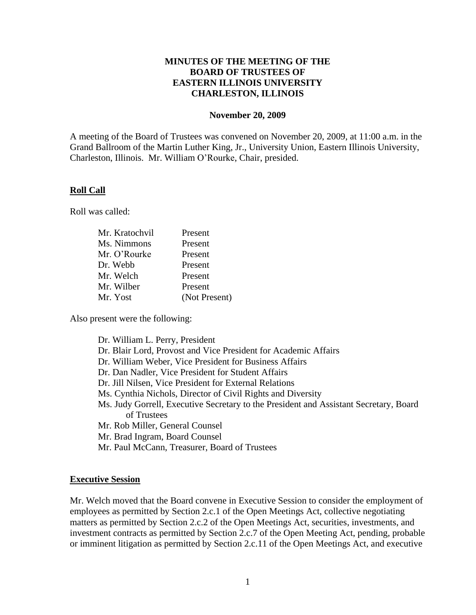### **MINUTES OF THE MEETING OF THE BOARD OF TRUSTEES OF EASTERN ILLINOIS UNIVERSITY CHARLESTON, ILLINOIS**

#### **November 20, 2009**

A meeting of the Board of Trustees was convened on November 20, 2009, at 11:00 a.m. in the Grand Ballroom of the Martin Luther King, Jr., University Union, Eastern Illinois University, Charleston, Illinois. Mr. William O'Rourke, Chair, presided.

#### **Roll Call**

Roll was called:

| Present       |
|---------------|
| Present       |
| Present       |
| Present       |
| Present       |
| Present       |
| (Not Present) |
|               |

Also present were the following:

| Dr. William L. Perry, President                                                       |
|---------------------------------------------------------------------------------------|
| Dr. Blair Lord, Provost and Vice President for Academic Affairs                       |
| Dr. William Weber, Vice President for Business Affairs                                |
| Dr. Dan Nadler, Vice President for Student Affairs                                    |
| Dr. Jill Nilsen, Vice President for External Relations                                |
| Ms. Cynthia Nichols, Director of Civil Rights and Diversity                           |
| Ms. Judy Gorrell, Executive Secretary to the President and Assistant Secretary, Board |
| of Trustees                                                                           |
| Mr. Rob Miller, General Counsel                                                       |
| Mr. Brad Ingram, Board Counsel                                                        |
| Mr. Paul McCann, Treasurer, Board of Trustees                                         |

#### **Executive Session**

Mr. Welch moved that the Board convene in Executive Session to consider the employment of employees as permitted by Section 2.c.1 of the Open Meetings Act, collective negotiating matters as permitted by Section 2.c.2 of the Open Meetings Act, securities, investments, and investment contracts as permitted by Section 2.c.7 of the Open Meeting Act, pending, probable or imminent litigation as permitted by Section 2.c.11 of the Open Meetings Act, and executive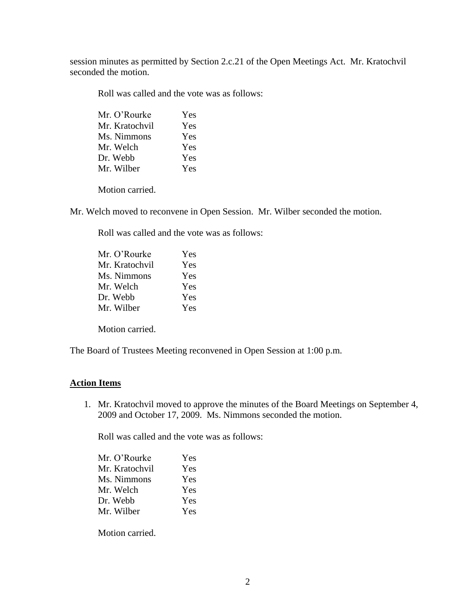session minutes as permitted by Section 2.c.21 of the Open Meetings Act. Mr. Kratochvil seconded the motion.

Roll was called and the vote was as follows:

| Mr. O'Rourke   | Yes |
|----------------|-----|
| Mr. Kratochvil | Yes |
| Ms. Nimmons    | Yes |
| Mr. Welch      | Yes |
| Dr. Webb       | Yes |
| Mr. Wilber     | Yes |
|                |     |

Motion carried.

Mr. Welch moved to reconvene in Open Session. Mr. Wilber seconded the motion.

Roll was called and the vote was as follows:

| Mr. O'Rourke   | Yes        |
|----------------|------------|
| Mr. Kratochvil | Yes        |
| Ms. Nimmons    | Yes        |
| Mr. Welch      | Yes        |
| Dr. Webb       | Yes        |
| Mr. Wilber     | <b>Yes</b> |
|                |            |

Motion carried.

The Board of Trustees Meeting reconvened in Open Session at 1:00 p.m.

### **Action Items**

1. Mr. Kratochvil moved to approve the minutes of the Board Meetings on September 4, 2009 and October 17, 2009. Ms. Nimmons seconded the motion.

Roll was called and the vote was as follows:

| Yes |
|-----|
| Yes |
| Yes |
| Yes |
| Yes |
| Yes |
|     |

Motion carried.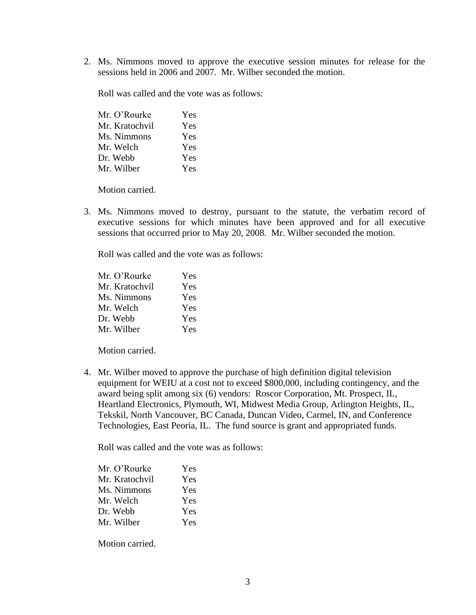2. Ms. Nimmons moved to approve the executive session minutes for release for the sessions held in 2006 and 2007. Mr. Wilber seconded the motion.

Roll was called and the vote was as follows:

| Mr. O'Rourke   | Yes |
|----------------|-----|
| Mr. Kratochvil | Yes |
| Ms. Nimmons    | Yes |
| Mr. Welch      | Yes |
| Dr. Webb       | Yes |
| Mr. Wilber     | Yes |

Motion carried.

3. Ms. Nimmons moved to destroy, pursuant to the statute, the verbatim record of executive sessions for which minutes have been approved and for all executive sessions that occurred prior to May 20, 2008. Mr. Wilber seconded the motion.

Roll was called and the vote was as follows:

| Mr. O'Rourke   | Yes |
|----------------|-----|
| Mr. Kratochvil | Yes |
| Ms. Nimmons    | Yes |
| Mr. Welch      | Yes |
| Dr. Webb       | Yes |
| Mr. Wilber     | Yes |

Motion carried.

4. Mr. Wilber moved to approve the purchase of high definition digital television equipment for WEIU at a cost not to exceed \$800,000, including contingency, and the award being split among six (6) vendors: Roscor Corporation, Mt. Prospect, IL, Heartland Electronics, Plymouth, WI, Midwest Media Group, Arlington Heights, IL, Tekskil, North Vancouver, BC Canada, Duncan Video, Carmel, IN, and Conference Technologies, East Peoria, IL. The fund source is grant and appropriated funds.

Roll was called and the vote was as follows:

| Mr. O'Rourke   | Yes |
|----------------|-----|
| Mr. Kratochvil | Yes |
| Ms. Nimmons    | Yes |
| Mr. Welch      | Yes |
| Dr. Webb       | Yes |
| Mr. Wilber     | Yes |

Motion carried.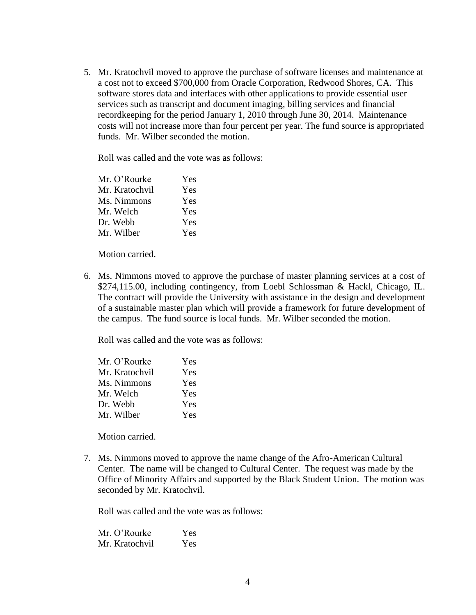5. Mr. Kratochvil moved to approve the purchase of software licenses and maintenance at a cost not to exceed \$700,000 from Oracle Corporation, Redwood Shores, CA. This software stores data and interfaces with other applications to provide essential user services such as transcript and document imaging, billing services and financial recordkeeping for the period January 1, 2010 through June 30, 2014. Maintenance costs will not increase more than four percent per year. The fund source is appropriated funds. Mr. Wilber seconded the motion.

Roll was called and the vote was as follows:

| Mr. O'Rourke   | Yes |
|----------------|-----|
| Mr. Kratochvil | Yes |
| Ms. Nimmons    | Yes |
| Mr. Welch      | Yes |
| Dr. Webb       | Yes |
| Mr. Wilber     | Yes |

Motion carried.

6. Ms. Nimmons moved to approve the purchase of master planning services at a cost of \$274,115.00, including contingency, from Loebl Schlossman & Hackl, Chicago, IL. The contract will provide the University with assistance in the design and development of a sustainable master plan which will provide a framework for future development of the campus. The fund source is local funds. Mr. Wilber seconded the motion.

Roll was called and the vote was as follows:

| Mr. O'Rourke   | Yes |
|----------------|-----|
| Mr. Kratochvil | Yes |
| Ms. Nimmons    | Yes |
| Mr. Welch      | Yes |
| Dr. Webb       | Yes |
| Mr. Wilber     | Yes |

Motion carried.

7. Ms. Nimmons moved to approve the name change of the Afro-American Cultural Center. The name will be changed to Cultural Center. The request was made by the Office of Minority Affairs and supported by the Black Student Union. The motion was seconded by Mr. Kratochvil.

Roll was called and the vote was as follows:

Mr. O'Rourke Yes Mr. Kratochvil Yes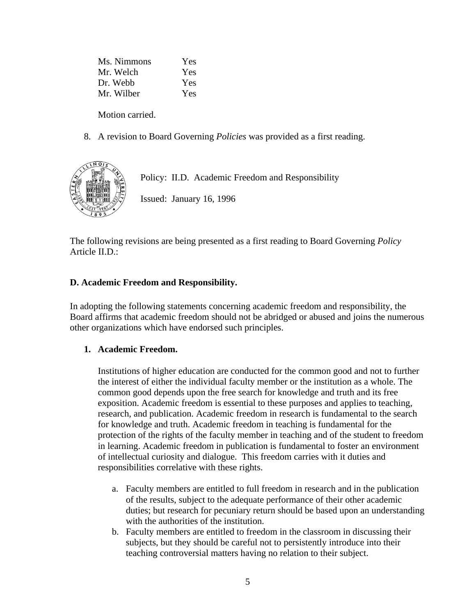Ms. Nimmons Yes Mr. Welch Yes Dr. Webb Yes Mr. Wilber Yes

Motion carried.

8. A revision to Board Governing *Policies* was provided as a first reading.



Policy: II.D. Academic Freedom and Responsibility

Issued: January 16, 1996

The following revisions are being presented as a first reading to Board Governing *Policy*  Article II.D.:

# **D. Academic Freedom and Responsibility.**

In adopting the following statements concerning academic freedom and responsibility, the Board affirms that academic freedom should not be abridged or abused and joins the numerous other organizations which have endorsed such principles.

### **1. Academic Freedom.**

Institutions of higher education are conducted for the common good and not to further the interest of either the individual faculty member or the institution as a whole. The common good depends upon the free search for knowledge and truth and its free exposition. Academic freedom is essential to these purposes and applies to teaching, research, and publication. Academic freedom in research is fundamental to the search for knowledge and truth. Academic freedom in teaching is fundamental for the protection of the rights of the faculty member in teaching and of the student to freedom in learning. Academic freedom in publication is fundamental to foster an environment of intellectual curiosity and dialogue. This freedom carries with it duties and responsibilities correlative with these rights.

- a. Faculty members are entitled to full freedom in research and in the publication of the results, subject to the adequate performance of their other academic duties; but research for pecuniary return should be based upon an understanding with the authorities of the institution.
- b. Faculty members are entitled to freedom in the classroom in discussing their subjects, but they should be careful not to persistently introduce into their teaching controversial matters having no relation to their subject.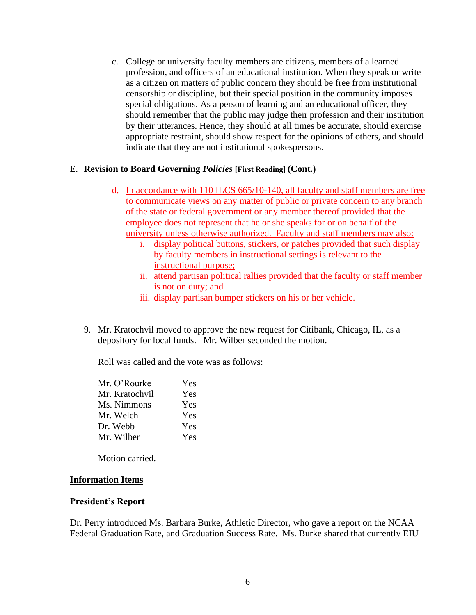c. College or university faculty members are citizens, members of a learned profession, and officers of an educational institution. When they speak or write as a citizen on matters of public concern they should be free from institutional censorship or discipline, but their special position in the community imposes special obligations. As a person of learning and an educational officer, they should remember that the public may judge their profession and their institution by their utterances. Hence, they should at all times be accurate, should exercise appropriate restraint, should show respect for the opinions of others, and should indicate that they are not institutional spokespersons.

### E. **Revision to Board Governing** *Policies* **[First Reading] (Cont.)**

- d. In accordance with 110 ILCS 665/10-140, all faculty and staff members are free to communicate views on any matter of public or private concern to any branch of the state or federal government or any member thereof provided that the employee does not represent that he or she speaks for or on behalf of the university unless otherwise authorized. Faculty and staff members may also:
	- i. display political buttons, stickers, or patches provided that such display by faculty members in instructional settings is relevant to the instructional purpose;
	- ii. attend partisan political rallies provided that the faculty or staff member is not on duty; and
	- iii. display partisan bumper stickers on his or her vehicle.
- 9. Mr. Kratochvil moved to approve the new request for Citibank, Chicago, IL, as a depository for local funds. Mr. Wilber seconded the motion.

Roll was called and the vote was as follows:

| Mr. O'Rourke   | Yes |
|----------------|-----|
| Mr. Kratochvil | Yes |
| Ms. Nimmons    | Yes |
| Mr. Welch      | Yes |
| Dr. Webb       | Yes |
| Mr. Wilber     | Yes |
|                |     |

Motion carried.

#### **Information Items**

#### **President's Report**

Dr. Perry introduced Ms. Barbara Burke, Athletic Director, who gave a report on the NCAA Federal Graduation Rate, and Graduation Success Rate. Ms. Burke shared that currently EIU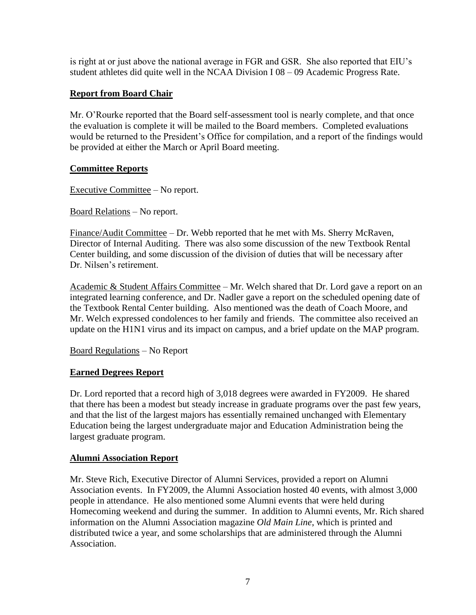is right at or just above the national average in FGR and GSR. She also reported that EIU's student athletes did quite well in the NCAA Division I 08 – 09 Academic Progress Rate.

# **Report from Board Chair**

Mr. O'Rourke reported that the Board self-assessment tool is nearly complete, and that once the evaluation is complete it will be mailed to the Board members. Completed evaluations would be returned to the President's Office for compilation, and a report of the findings would be provided at either the March or April Board meeting.

# **Committee Reports**

Executive Committee – No report.

Board Relations – No report.

Finance/Audit Committee – Dr. Webb reported that he met with Ms. Sherry McRaven, Director of Internal Auditing. There was also some discussion of the new Textbook Rental Center building, and some discussion of the division of duties that will be necessary after Dr. Nilsen's retirement.

Academic & Student Affairs Committee – Mr. Welch shared that Dr. Lord gave a report on an integrated learning conference, and Dr. Nadler gave a report on the scheduled opening date of the Textbook Rental Center building. Also mentioned was the death of Coach Moore, and Mr. Welch expressed condolences to her family and friends. The committee also received an update on the H1N1 virus and its impact on campus, and a brief update on the MAP program.

Board Regulations – No Report

# **Earned Degrees Report**

Dr. Lord reported that a record high of 3,018 degrees were awarded in FY2009. He shared that there has been a modest but steady increase in graduate programs over the past few years, and that the list of the largest majors has essentially remained unchanged with Elementary Education being the largest undergraduate major and Education Administration being the largest graduate program.

# **Alumni Association Report**

Mr. Steve Rich, Executive Director of Alumni Services, provided a report on Alumni Association events. In FY2009, the Alumni Association hosted 40 events, with almost 3,000 people in attendance. He also mentioned some Alumni events that were held during Homecoming weekend and during the summer. In addition to Alumni events, Mr. Rich shared information on the Alumni Association magazine *Old Main Line*, which is printed and distributed twice a year, and some scholarships that are administered through the Alumni Association.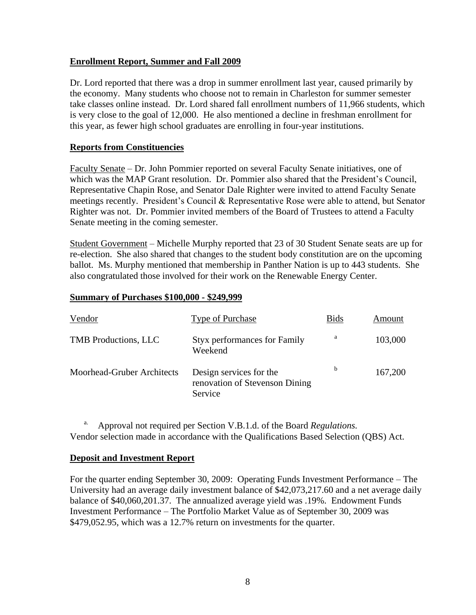## **Enrollment Report, Summer and Fall 2009**

Dr. Lord reported that there was a drop in summer enrollment last year, caused primarily by the economy. Many students who choose not to remain in Charleston for summer semester take classes online instead. Dr. Lord shared fall enrollment numbers of 11,966 students, which is very close to the goal of 12,000. He also mentioned a decline in freshman enrollment for this year, as fewer high school graduates are enrolling in four-year institutions.

### **Reports from Constituencies**

Faculty Senate – Dr. John Pommier reported on several Faculty Senate initiatives, one of which was the MAP Grant resolution. Dr. Pommier also shared that the President's Council, Representative Chapin Rose, and Senator Dale Righter were invited to attend Faculty Senate meetings recently. President's Council & Representative Rose were able to attend, but Senator Righter was not. Dr. Pommier invited members of the Board of Trustees to attend a Faculty Senate meeting in the coming semester.

Student Government – Michelle Murphy reported that 23 of 30 Student Senate seats are up for re-election. She also shared that changes to the student body constitution are on the upcoming ballot. Ms. Murphy mentioned that membership in Panther Nation is up to 443 students. She also congratulated those involved for their work on the Renewable Energy Center.

#### **Summary of Purchases \$100,000 - \$249,999**

| Vendor                      | Type of Purchase                                                     | <b>Bids</b> | Amount  |
|-----------------------------|----------------------------------------------------------------------|-------------|---------|
| <b>TMB</b> Productions, LLC | <b>Styx performances for Family</b><br>Weekend                       | a           | 103,000 |
| Moorhead-Gruber Architects  | Design services for the<br>renovation of Stevenson Dining<br>Service | b           | 167,200 |

a. Approval not required per Section V.B.1.d. of the Board *Regulations.* Vendor selection made in accordance with the Qualifications Based Selection (QBS) Act.

### **Deposit and Investment Report**

For the quarter ending September 30, 2009: Operating Funds Investment Performance – The University had an average daily investment balance of \$42,073,217.60 and a net average daily balance of \$40,060,201.37. The annualized average yield was .19%. Endowment Funds Investment Performance – The Portfolio Market Value as of September 30, 2009 was \$479,052.95, which was a 12.7% return on investments for the quarter.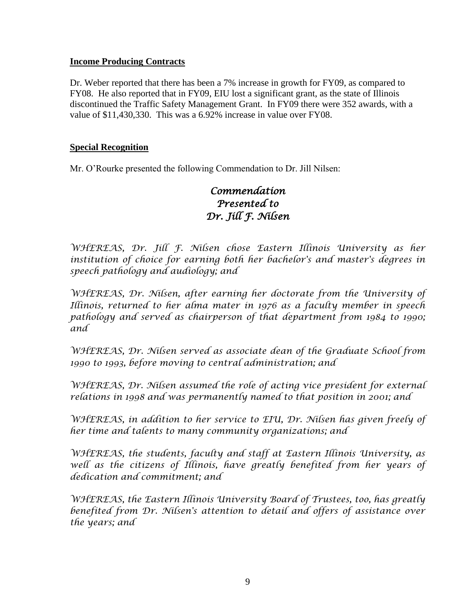## **Income Producing Contracts**

Dr. Weber reported that there has been a 7% increase in growth for FY09, as compared to FY08. He also reported that in FY09, EIU lost a significant grant, as the state of Illinois discontinued the Traffic Safety Management Grant. In FY09 there were 352 awards, with a value of \$11,430,330. This was a 6.92% increase in value over FY08.

### **Special Recognition**

Mr. O'Rourke presented the following Commendation to Dr. Jill Nilsen:

# *Commendation Presented to Dr. Jill F. Nilsen*

*WHEREAS, Dr. Jill F. Nilsen chose Eastern Illinois University as her institution of choice for earning both her bachelor's and master's degrees in speech pathology and audiology; and*

*WHEREAS, Dr. Nilsen, after earning her doctorate from the University of Illinois, returned to her alma mater in 1976 as a faculty member in speech pathology and served as chairperson of that department from 1984 to 1990; and*

*WHEREAS, Dr. Nilsen served as associate dean of the Graduate School from 1990 to 1993, before moving to central administration; and* 

WHEREAS, Dr. Nilsen assumed the role of acting vice president for external *relations in 1998 and was permanently named to that position in 2001; and*

WHEREAS, in addition to her service to EIU, Dr. Nilsen has given freely of *her time and talents to many community organizations; and*

*WHEREAS, the students, faculty and staff at Eastern Illinois University, as*  well as the citizens of Illinois, have greatly benefited from her years of *dedication and commitment; and* 

*WHEREAS, the Eastern Illinois University Board of Trustees, too, has greatly benefited from Dr. Nilsen's attention to detail and offers of assistance over the years; and*